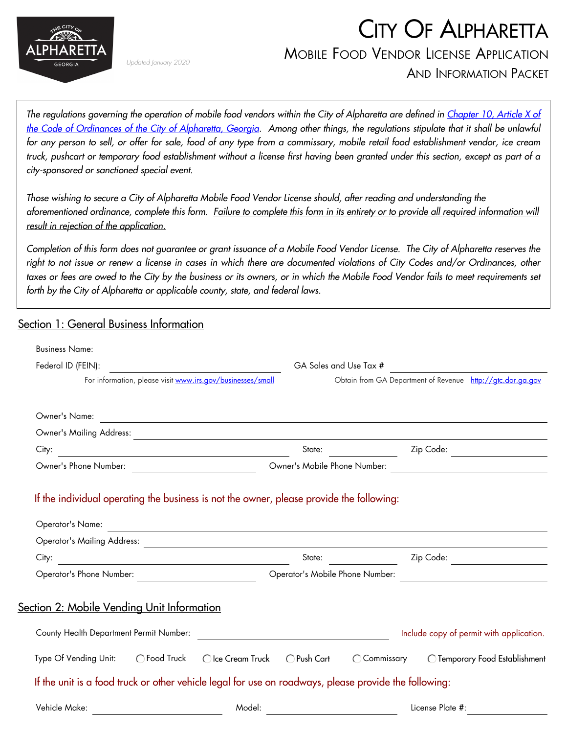

Updated January 2020

# CITY OF ALPHARETTA MOBILE FOOD VENDOR LICENSE APPLICATION

AND INFORMATION PACKET

The regulations governing the operation of mobile food vendors within the City of Alpharetta are defined in [Chapter 10, Article X of](https://library.municode.com/ga/alpharetta/codes/code_of_ordinances?nodeId=PTIICOOR_CH10BUBURE_ARTXMOFOVE) [the Code of Ordinances of the City of Alpharetta, Georgia.](https://library.municode.com/ga/alpharetta/codes/code_of_ordinances?nodeId=PTIICOOR_CH10BUBURE_ARTXMOFOVE) Among other things, the regulations stipulate that it shall be unlawful for any person to sell, or offer for sale, food of any type from a commissary, mobile retail food establishment vendor, ice cream truck, pushcart or temporary food establishment without a license first having been granted under this section, except as part of a city-sponsored or sanctioned special event.

Those wishing to secure a City of Alpharetta Mobile Food Vendor License should, after reading and understanding the aforementioned ordinance, complete this form. Failure to complete this form in its entirety or to provide all required information will result in rejection of the application.

Completion of this form does not guarantee or grant issuance of a Mobile Food Vendor License. The City of Alpharetta reserves the right to not issue or renew a license in cases in which there are documented violations of City Codes and/or Ordinances, other taxes or fees are owed to the City by the business or its owners, or in which the Mobile Food Vendor fails to meet requirements set forth by the City of Alpharetta or applicable county, state, and federal laws.

#### Section 1: General Business Information

| <b>Business Name:</b><br>the control of the control of the control of the control of the control of the control of           |                                 |                                                             |  |  |
|------------------------------------------------------------------------------------------------------------------------------|---------------------------------|-------------------------------------------------------------|--|--|
| Federal ID (FEIN):                                                                                                           |                                 | GA Sales and Use Tax #                                      |  |  |
| For information, please visit www.irs.gov/businesses/small                                                                   |                                 | Obtain from GA Department of Revenue http://gtc.dor.ga.gov  |  |  |
|                                                                                                                              |                                 |                                                             |  |  |
| Owner's Name:                                                                                                                |                                 | <u> 1989 - Johann Stoff, amerikansk politiker (d. 1989)</u> |  |  |
|                                                                                                                              |                                 |                                                             |  |  |
| City:<br><u> 1980 - Johann Marie Barn, margaret eta idazlea (</u>                                                            | State:                          | Zip Code:<br>$\Box$                                         |  |  |
| Owner's Phone Number:                                                                                                        | Owner's Mobile Phone Number:    |                                                             |  |  |
| If the individual operating the business is not the owner, please provide the following:                                     |                                 |                                                             |  |  |
| Operator's Name:                                                                                                             |                                 | <u> 1989 - Johann Stoff, amerikansk politiker (d. 1989)</u> |  |  |
|                                                                                                                              |                                 |                                                             |  |  |
| City:<br><u> 1989 - Johann Barn, mars eta bainar eta baina eta baina eta baina eta baina eta baina eta baina eta baina e</u> | State:                          | $\vert \blacktriangledown \vert$<br>Zip Code:               |  |  |
| Operator's Phone Number:                                                                                                     | Operator's Mobile Phone Number: |                                                             |  |  |
| Section 2: Mobile Vending Unit Information                                                                                   |                                 |                                                             |  |  |
| County Health Department Permit Number:                                                                                      |                                 | Include copy of permit with application.                    |  |  |
| ◯ Food Truck<br>Type Of Vending Unit:<br>◯ Ice Cream Truck                                                                   | $\bigcirc$ Push Cart            | ◯ Commissary<br>O Temporary Food Establishment              |  |  |
| If the unit is a food truck or other vehicle legal for use on roadways, please provide the following:                        |                                 |                                                             |  |  |
| Vehicle Make:                                                                                                                | Model:                          | License Plate #:                                            |  |  |
|                                                                                                                              |                                 |                                                             |  |  |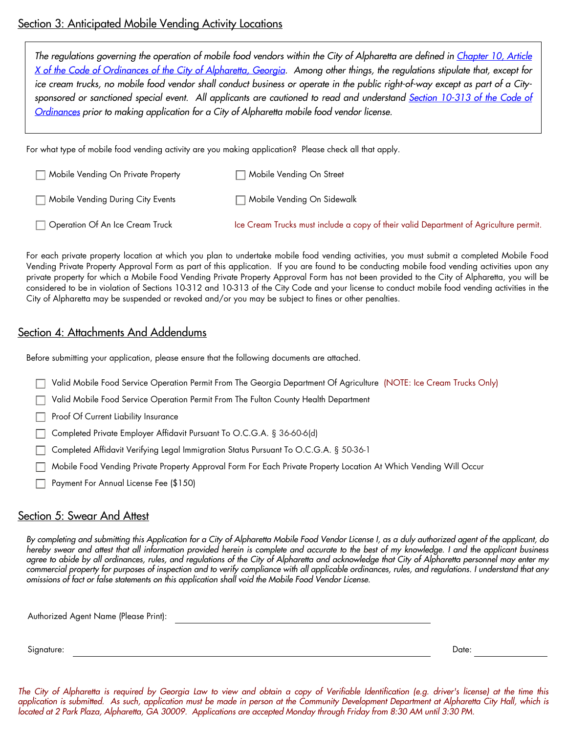#### Section 3: Anticipated Mobile Vending Activity Locations

The regulations governing the operation of mobile food vendors within the City of Alpharetta are defined in Chapter 10, Article [X of the Code of Ordinances of the City of Alpharetta, Georgia.](https://library.municode.com/ga/alpharetta/codes/code_of_ordinances?nodeId=PTIICOOR_CH10BUBURE_ARTXMOFOVE) Among other things, the regulations stipulate that, except for ice cream trucks, no mobile food vendor shall conduct business or operate in the public right-of-way except as part of a City-sponsored or sanctioned special event. All applicants are cautioned to read and understand [Section 10-313 of the Code of](https://library.municode.com/ga/alpharetta/codes/code_of_ordinances?nodeId=PTIICOOR_CH10BUBURE_ARTXMOFOVE_S10-313PRCORE) [Ordinances](https://library.municode.com/ga/alpharetta/codes/code_of_ordinances?nodeId=PTIICOOR_CH10BUBURE_ARTXMOFOVE_S10-313PRCORE) prior to making application for a City of Alpharetta mobile food vendor license.

For what type of mobile food vending activity are you making application? Please check all that apply.

| Mobile Vending On Private Property | Mobile Vending On Street                                                              |
|------------------------------------|---------------------------------------------------------------------------------------|
| Mobile Vending During City Events  | Mobile Vending On Sidewalk                                                            |
| Operation Of An Ice Cream Truck    | Ice Cream Trucks must include a copy of their valid Department of Agriculture permit. |

For each private property location at which you plan to undertake mobile food vending activities, you must submit a completed Mobile Food Vending Private Property Approval Form as part of this application. If you are found to be conducting mobile food vending activities upon any private property for which a Mobile Food Vending Private Property Approval Form has not been provided to the City of Alpharetta, you will be considered to be in violation of Sections 10-312 and 10-313 of the City Code and your license to conduct mobile food vending activities in the City of Alpharetta may be suspended or revoked and/or you may be subject to fines or other penalties.

#### Section 4: Attachments And Addendums

Before submitting your application, please ensure that the following documents are attached.

Valid Mobile Food Service Operation Permit From The Georgia Department Of Agriculture (NOTE: Ice Cream Trucks Only)

Valid Mobile Food Service Operation Permit From The Fulton County Health Department

Proof Of Current Liability Insurance

Completed Private Employer Affidavit Pursuant To O.C.G.A. § 36-60-6(d)

Completed Affidavit Verifying Legal Immigration Status Pursuant To O.C.G.A. § 50-36-1

Mobile Food Vending Private Property Approval Form For Each Private Property Location At Which Vending Will Occur

Payment For Annual License Fee (\$150)

#### Section 5: Swear And Attest

By completing and submitting this Application for a City of Alpharetta Mobile Food Vendor License I, as a duly authorized agent of the applicant, do hereby swear and attest that all information provided herein is complete and accurate to the best of my knowledge. I and the applicant business agree to abide by all ordinances, rules, and regulations of the City of Alpharetta and acknowledge that City of Alpharetta personnel may enter my commercial property for purposes of inspection and to verify compliance with all applicable ordinances, rules, and regulations. I understand that any omissions of fact or false statements on this application shall void the Mobile Food Vendor License.

Authorized Agent Name (Please Print):

Signature: Date:

The City of Alpharetta is required by Georgia Law to view and obtain a copy of Verifiable Identification (e.g. driver's license) at the time this application is submitted. As such, application must be made in person at the Community Development Department at Alpharetta City Hall, which is located at 2 Park Plaza, Alpharetta, GA 30009. Applications are accepted Monday through Friday from 8:30 AM until 3:30 PM.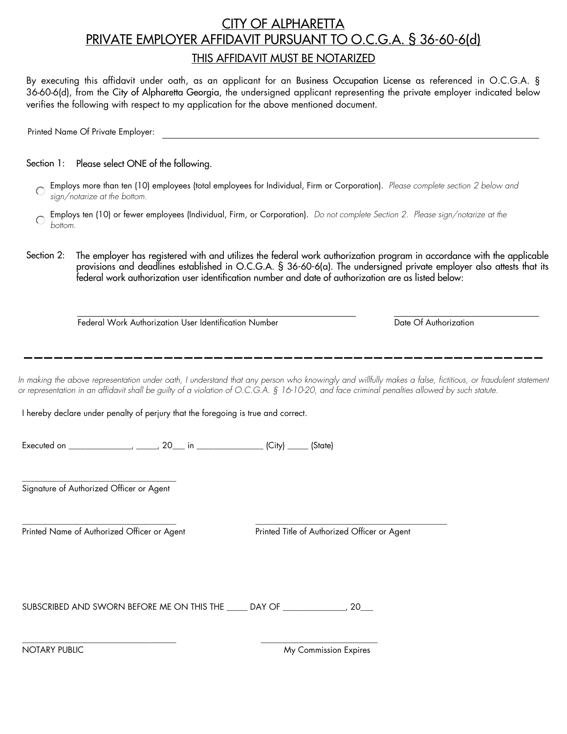## THIS AFFIDAVIT MUST BE NOTARIZED CITY OF ALPHARETTA PRIVATE EMPLOYER AFFIDAVIT PURSUANT TO O.C.G.A. § 36-60-6(d)

By executing this affidavit under oath, as an applicant for an Business Occupation License as referenced in O.C.G.A. § 36-60-6(d), from the City of Alpharetta Georgia, the undersigned applicant representing the private employer indicated below verifies the following with respect to my application for the above mentioned document.

Printed Name Of Private Employer:

Section 1: Please select ONE of the following.

- Employs more than ten (10) employees (total employees for Individual, Firm or Corporation). Please complete section 2 below and sign/notarize at the bottom.
- Employs ten (10) or fewer employees (Individual, Firm, or Corporation). Do not complete Section 2. Please sign/notarize at the bottom.
- The employer has registered with and utilizes the federal work authorization program in accordance with the applicable provisions and deadlines established in O.C.G.A. § 36-60-6(a). The undersigned private employer also attests that its federal work authorization user identification number and date of authorization are as listed below: Section 2:

Federal Work Authorization User Identification Number **Date Of Authorization** 

In making the above representation under oath, I understand that any person who knowingly and willfully makes a false, fictitious, or fraudulent statement or representation in an affidavit shall be guilty of a violation of O.C.G.A. § 16-10-20, and face criminal penalties allowed by such statute.

I hereby declare under penalty of perjury that the foregoing is true and correct.

Executed on \_\_\_\_\_\_\_\_\_\_\_\_\_\_\_, \_\_\_\_\_, 20\_\_\_ in \_\_\_\_\_\_\_\_\_\_\_\_\_\_\_\_\_\_\_ (City) \_\_\_\_\_\_ (State)

\_\_\_\_\_\_\_\_\_\_\_\_\_\_\_\_\_\_\_\_\_\_\_\_\_\_\_\_\_\_\_\_\_\_\_\_\_ Signature of Authorized Officer or Agent

Printed Name of Authorized Officer or Agent Printed Title of Authorized Officer or Agent

\_\_\_\_\_\_\_\_\_\_\_\_\_\_\_\_\_\_\_\_\_\_\_\_\_\_\_\_\_\_\_\_\_\_\_\_\_ \_\_\_\_\_\_\_\_\_\_\_\_\_\_\_\_\_\_\_\_\_\_\_\_\_\_\_\_\_\_\_\_\_\_\_\_\_\_\_\_\_\_\_\_\_\_

SUBSCRIBED AND SWORN BEFORE ME ON THIS THE \_\_\_\_\_ DAY OF \_\_\_\_\_\_\_\_\_\_\_\_\_, 20\_\_\_

\_\_\_\_\_\_\_\_\_\_\_\_\_\_\_\_\_\_\_\_\_\_\_\_\_\_\_\_\_\_\_\_\_\_\_\_\_ \_\_\_\_\_\_\_\_\_\_\_\_\_\_\_\_\_\_\_\_\_\_\_\_\_\_\_\_

NOTARY PUBLIC **My Commission Expires** My Commission Expires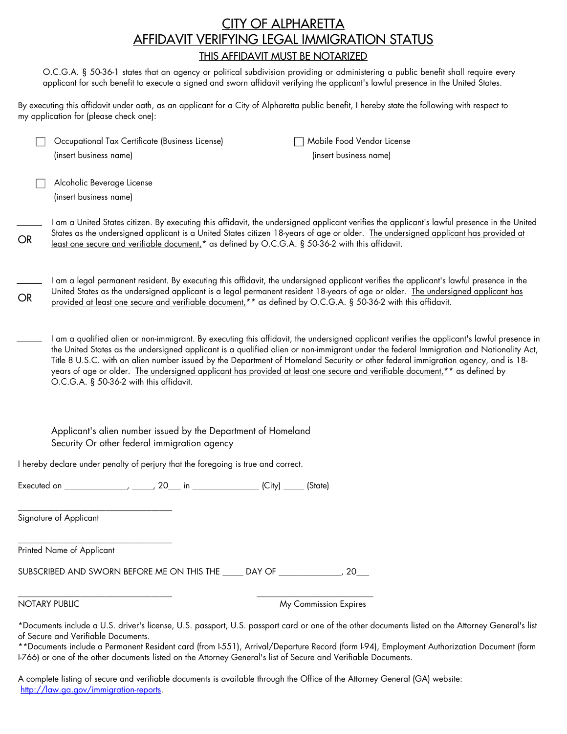## THIS AFFIDAVIT MUST BE NOTARIZED CITY OF ALPHARETTA AFFIDAVIT VERIFYING LEGAL IMMIGRATION STATUS

O.C.G.A. § 50-36-1 states that an agency or political subdivision providing or administering a public benefit shall require every applicant for such benefit to execute a signed and sworn affidavit verifying the applicant's lawful presence in the United States.

By executing this affidavit under oath, as an applicant for a City of Alpharetta public benefit, I hereby state the following with respect to my application for (please check one):

|                                                                                                               | Occupational Tax Certificate (Business License)<br>(insert business name)                                                                                                                                                                                                                                                                                                                                                                                                                                                                                                                                        |  |  | Mobile Food Vendor License<br>(insert business name) |  |  |
|---------------------------------------------------------------------------------------------------------------|------------------------------------------------------------------------------------------------------------------------------------------------------------------------------------------------------------------------------------------------------------------------------------------------------------------------------------------------------------------------------------------------------------------------------------------------------------------------------------------------------------------------------------------------------------------------------------------------------------------|--|--|------------------------------------------------------|--|--|
|                                                                                                               | Alcoholic Beverage License<br>(insert business name)                                                                                                                                                                                                                                                                                                                                                                                                                                                                                                                                                             |  |  |                                                      |  |  |
| <b>OR</b>                                                                                                     | I am a United States citizen. By executing this affidavit, the undersigned applicant verifies the applicant's lawful presence in the United<br>States as the undersigned applicant is a United States citizen 18-years of age or older. The undersigned applicant has provided at<br>least one secure and verifiable document, <sup>*</sup> as defined by O.C.G.A. § 50-36-2 with this affidavit.                                                                                                                                                                                                                |  |  |                                                      |  |  |
| <b>OR</b>                                                                                                     | I am a legal permanent resident. By executing this affidavit, the undersigned applicant verifies the applicant's lawful presence in the<br>United States as the undersigned applicant is a legal permanent resident 18-years of age or older. The undersigned applicant has<br>provided at least one secure and verifiable document,** as defined by O.C.G.A. § 50-36-2 with this affidavit.                                                                                                                                                                                                                     |  |  |                                                      |  |  |
|                                                                                                               | I am a qualified alien or non-immigrant. By executing this affidavit, the undersigned applicant verifies the applicant's lawful presence in<br>the United States as the undersigned applicant is a qualified alien or non-immigrant under the federal Immigration and Nationality Act,<br>Title 8 U.S.C. with an alien number issued by the Department of Homeland Security or other federal immigration agency, and is 18-<br>years of age or older. The undersigned applicant has provided at least one secure and verifiable document, <sup>**</sup> as defined by<br>O.C.G.A. § 50-36-2 with this affidavit. |  |  |                                                      |  |  |
| Applicant's alien number issued by the Department of Homeland<br>Security Or other federal immigration agency |                                                                                                                                                                                                                                                                                                                                                                                                                                                                                                                                                                                                                  |  |  |                                                      |  |  |
| I hereby declare under penalty of perjury that the foregoing is true and correct.                             |                                                                                                                                                                                                                                                                                                                                                                                                                                                                                                                                                                                                                  |  |  |                                                      |  |  |
|                                                                                                               |                                                                                                                                                                                                                                                                                                                                                                                                                                                                                                                                                                                                                  |  |  |                                                      |  |  |
|                                                                                                               | Signature of Applicant                                                                                                                                                                                                                                                                                                                                                                                                                                                                                                                                                                                           |  |  |                                                      |  |  |
|                                                                                                               | Printed Name of Applicant                                                                                                                                                                                                                                                                                                                                                                                                                                                                                                                                                                                        |  |  |                                                      |  |  |
|                                                                                                               | SUBSCRIBED AND SWORN BEFORE ME ON THIS THE _____ DAY OF _______________, 20___                                                                                                                                                                                                                                                                                                                                                                                                                                                                                                                                   |  |  |                                                      |  |  |
|                                                                                                               | NOTARY PUBLIC                                                                                                                                                                                                                                                                                                                                                                                                                                                                                                                                                                                                    |  |  | My Commission Expires                                |  |  |

\*Documents include a U.S. driver's license, U.S. passport, U.S. passport card or one of the other documents listed on the Attorney General's list of Secure and Verifiable Documents.

\*\*Documents include a Permanent Resident card (from I-551), Arrival/Departure Record (form I-94), Employment Authorization Document (form I-766) or one of the other documents listed on the Attorney General's list of Secure and Verifiable Documents.

A complete listing of secure and verifiable documents is available through the Office of the Attorney General (GA) website: http://law.ga.gov/immigration-reports.